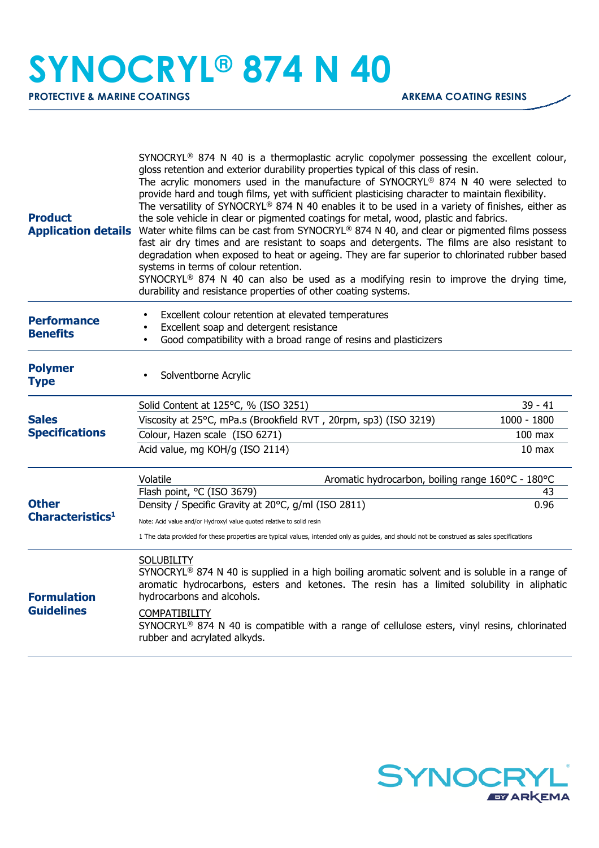## **SYNOCRYL® 874 N 40**

**PROTECTIVE & MARINE COATINGS ARKEMA COATING RESINS** 

| <b>Product</b>                               | SYNOCRYL <sup>®</sup> 874 N 40 is a thermoplastic acrylic copolymer possessing the excellent colour,<br>gloss retention and exterior durability properties typical of this class of resin.<br>The acrylic monomers used in the manufacture of SYNOCRYL® 874 N 40 were selected to<br>provide hard and tough films, yet with sufficient plasticising character to maintain flexibility.<br>The versatility of SYNOCRYL® 874 N 40 enables it to be used in a variety of finishes, either as<br>the sole vehicle in clear or pigmented coatings for metal, wood, plastic and fabrics.<br>Application details Water white films can be cast from SYNOCRYL® 874 N 40, and clear or pigmented films possess<br>fast air dry times and are resistant to soaps and detergents. The films are also resistant to<br>degradation when exposed to heat or ageing. They are far superior to chlorinated rubber based<br>systems in terms of colour retention.<br>SYNOCRYL <sup>®</sup> 874 N 40 can also be used as a modifying resin to improve the drying time,<br>durability and resistance properties of other coating systems. |                   |  |
|----------------------------------------------|------------------------------------------------------------------------------------------------------------------------------------------------------------------------------------------------------------------------------------------------------------------------------------------------------------------------------------------------------------------------------------------------------------------------------------------------------------------------------------------------------------------------------------------------------------------------------------------------------------------------------------------------------------------------------------------------------------------------------------------------------------------------------------------------------------------------------------------------------------------------------------------------------------------------------------------------------------------------------------------------------------------------------------------------------------------------------------------------------------------------|-------------------|--|
| <b>Performance</b><br><b>Benefits</b>        | Excellent colour retention at elevated temperatures<br>Excellent soap and detergent resistance<br>Good compatibility with a broad range of resins and plasticizers<br>$\bullet$                                                                                                                                                                                                                                                                                                                                                                                                                                                                                                                                                                                                                                                                                                                                                                                                                                                                                                                                        |                   |  |
| <b>Polymer</b><br><b>Type</b>                | Solventborne Acrylic                                                                                                                                                                                                                                                                                                                                                                                                                                                                                                                                                                                                                                                                                                                                                                                                                                                                                                                                                                                                                                                                                                   |                   |  |
|                                              | Solid Content at 125°C, % (ISO 3251)                                                                                                                                                                                                                                                                                                                                                                                                                                                                                                                                                                                                                                                                                                                                                                                                                                                                                                                                                                                                                                                                                   | $39 - 41$         |  |
| <b>Sales</b><br><b>Specifications</b>        | Viscosity at 25°C, mPa.s (Brookfield RVT, 20rpm, sp3) (ISO 3219)                                                                                                                                                                                                                                                                                                                                                                                                                                                                                                                                                                                                                                                                                                                                                                                                                                                                                                                                                                                                                                                       | $1000 - 1800$     |  |
|                                              | Colour, Hazen scale (ISO 6271)                                                                                                                                                                                                                                                                                                                                                                                                                                                                                                                                                                                                                                                                                                                                                                                                                                                                                                                                                                                                                                                                                         | $100$ max         |  |
| <b>Other</b><br>Characteristics <sup>1</sup> | Acid value, mg KOH/g (ISO 2114)                                                                                                                                                                                                                                                                                                                                                                                                                                                                                                                                                                                                                                                                                                                                                                                                                                                                                                                                                                                                                                                                                        | 10 <sub>max</sub> |  |
|                                              | Volatile<br>Aromatic hydrocarbon, boiling range 160°C - 180°C                                                                                                                                                                                                                                                                                                                                                                                                                                                                                                                                                                                                                                                                                                                                                                                                                                                                                                                                                                                                                                                          |                   |  |
|                                              | Flash point, °C (ISO 3679)                                                                                                                                                                                                                                                                                                                                                                                                                                                                                                                                                                                                                                                                                                                                                                                                                                                                                                                                                                                                                                                                                             | 43                |  |
|                                              | Density / Specific Gravity at 20°C, g/ml (ISO 2811)                                                                                                                                                                                                                                                                                                                                                                                                                                                                                                                                                                                                                                                                                                                                                                                                                                                                                                                                                                                                                                                                    | 0.96              |  |
| <b>Formulation</b>                           | Note: Acid value and/or Hydroxyl value quoted relative to solid resin<br>1 The data provided for these properties are typical values, intended only as guides, and should not be construed as sales specifications                                                                                                                                                                                                                                                                                                                                                                                                                                                                                                                                                                                                                                                                                                                                                                                                                                                                                                     |                   |  |
|                                              | <b>SOLUBILITY</b><br>$SYNOCRYL® 874 N 40$ is supplied in a high boiling aromatic solvent and is soluble in a range of<br>aromatic hydrocarbons, esters and ketones. The resin has a limited solubility in aliphatic<br>hydrocarbons and alcohols.                                                                                                                                                                                                                                                                                                                                                                                                                                                                                                                                                                                                                                                                                                                                                                                                                                                                      |                   |  |
| <b>Guidelines</b>                            | <b>COMPATIBILITY</b><br>$SYNOCRYL®$ 874 N 40 is compatible with a range of cellulose esters, vinyl resins, chlorinated<br>rubber and acrylated alkyds.                                                                                                                                                                                                                                                                                                                                                                                                                                                                                                                                                                                                                                                                                                                                                                                                                                                                                                                                                                 |                   |  |